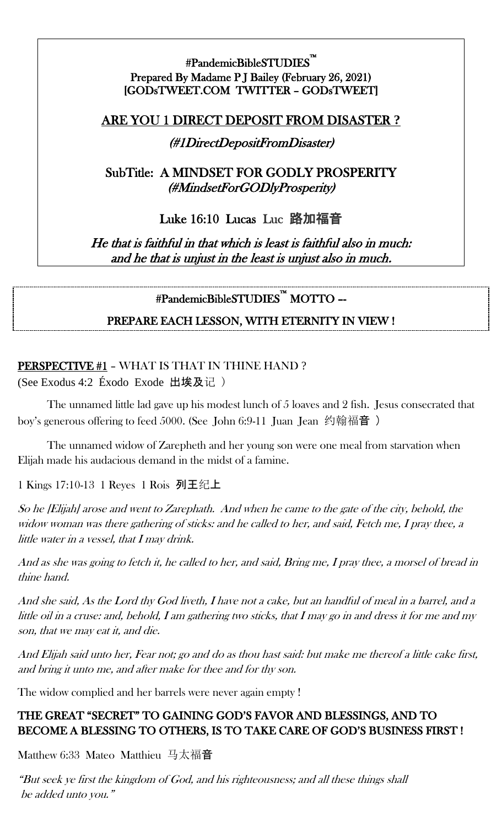## #PandemicBibleSTUDIES™ Prepared By Madame P J Bailey (February 26, 2021) [GODsTWEET.COM TWITTER – GODsTWEET]

## ARE YOU 1 DIRECT DEPOSIT FROM DISASTER **?**

## (#1DirectDepositFromDisaster)

## SubTitle: A MINDSET FOR GODLY PROSPERITY (#MindsetForGODlyProsperity)

## Luke 16:10 Lucas Luc 路加福音

He that is faithful in that which is least is faithful also in much: and he that is unjust in the least is unjust also in much.

# #PandemicBibleSTUDIES™ MOTTO –-

## PREPARE EACH LESSON, WITH ETERNITY IN VIEW !

## PERSPECTIVE #1 - WHAT IS THAT IN THINE HAND? (See Exodus 4:2 Éxodo Exode 出埃及记 )

The unnamed little lad gave up his modest lunch of 5 loaves and 2 fish. Jesus consecrated that boy's generous offering to feed 5000. (See John 6:9-11 Juan Jean 约翰福音 )

The unnamed widow of Zarepheth and her young son were one meal from starvation when Elijah made his audacious demand in the midst of a famine.

1 Kings 17:10-13 1 Reyes 1 Rois 列王纪上

So he [Elijah] arose and went to Zarephath. And when he came to the gate of the city, behold, the widow woman was there gathering of sticks: and he called to her, and said, Fetch me, I pray thee, a little water in a vessel, that I may drink.

And as she was going to fetch it, he called to her, and said, Bring me, I pray thee, a morsel of bread in thine hand.

And she said, As the Lord thy God liveth, I have not a cake, but an handful of meal in a barrel, and a little oil in a cruse: and, behold, I am gathering two sticks, that I may go in and dress it for me and my son, that we may eat it, and die.

And Elijah said unto her, Fear not; go and do as thou hast said: but make me thereof a little cake first, and bring it unto me, and after make for thee and for thy son.

The widow complied and her barrels were never again empty !

## THE GREAT "SECRET" TO GAINING GOD'S FAVOR AND BLESSINGS, AND TO BECOME A BLESSING TO OTHERS, IS TO TAKE CARE OF GOD'S BUSINESS FIRST !

Matthew 6:33 Mateo Matthieu 马太福音

"But seek ye first the kingdom of God, and his righteousness; and all these things shall be added unto you."